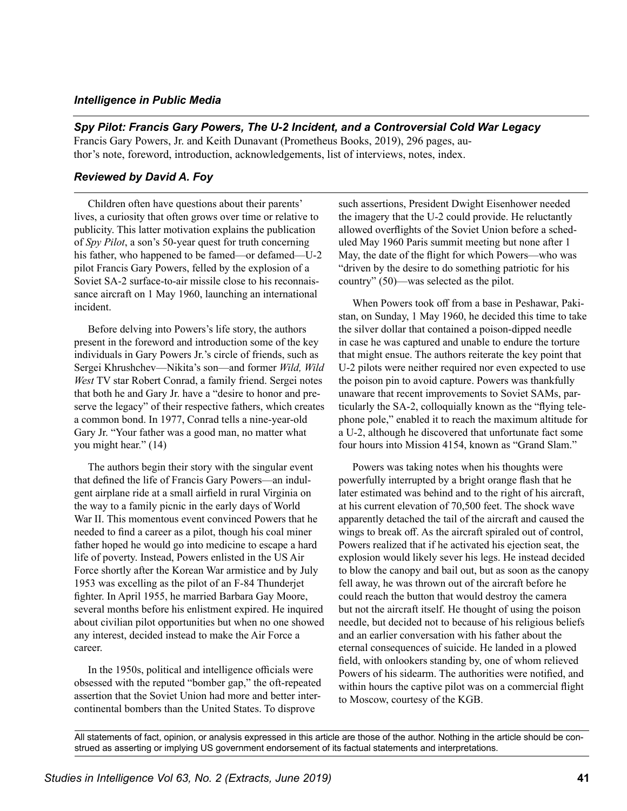## *Intelligence in Public Media*

*Spy Pilot: Francis Gary Powers, The U-2 Incident, and a Controversial Cold War Legacy*  Francis Gary Powers, Jr. and Keith Dunavant (Prometheus Books, 2019), 296 pages, author's note, foreword, introduction, acknowledgements, list of interviews, notes, index.

## *Reviewed by David A. Foy*

Children often have questions about their parents' lives, a curiosity that often grows over time or relative to publicity. This latter motivation explains the publication of *Spy Pilot*, a son's 50-year quest for truth concerning his father, who happened to be famed—or defamed—U-2 pilot Francis Gary Powers, felled by the explosion of a Soviet SA-2 surface-to-air missile close to his reconnaissance aircraft on 1 May 1960, launching an international incident.

Before delving into Powers's life story, the authors present in the foreword and introduction some of the key individuals in Gary Powers Jr.'s circle of friends, such as Sergei Khrushchev—Nikita's son—and former *Wild, Wild West* TV star Robert Conrad, a family friend. Sergei notes that both he and Gary Jr. have a "desire to honor and preserve the legacy" of their respective fathers, which creates a common bond. In 1977, Conrad tells a nine-year-old Gary Jr. "Your father was a good man, no matter what you might hear." (14)

The authors begin their story with the singular event that defined the life of Francis Gary Powers—an indulgent airplane ride at a small airfield in rural Virginia on the way to a family picnic in the early days of World War II. This momentous event convinced Powers that he needed to find a career as a pilot, though his coal miner father hoped he would go into medicine to escape a hard life of poverty. Instead, Powers enlisted in the US Air Force shortly after the Korean War armistice and by July 1953 was excelling as the pilot of an F-84 Thunderjet fighter. In April 1955, he married Barbara Gay Moore, several months before his enlistment expired. He inquired about civilian pilot opportunities but when no one showed any interest, decided instead to make the Air Force a career.

In the 1950s, political and intelligence officials were obsessed with the reputed "bomber gap," the oft-repeated assertion that the Soviet Union had more and better intercontinental bombers than the United States. To disprove

such assertions, President Dwight Eisenhower needed the imagery that the U-2 could provide. He reluctantly allowed overflights of the Soviet Union before a scheduled May 1960 Paris summit meeting but none after 1 May, the date of the flight for which Powers—who was "driven by the desire to do something patriotic for his country" (50)—was selected as the pilot.

When Powers took off from a base in Peshawar, Pakistan, on Sunday, 1 May 1960, he decided this time to take the silver dollar that contained a poison-dipped needle in case he was captured and unable to endure the torture that might ensue. The authors reiterate the key point that U-2 pilots were neither required nor even expected to use the poison pin to avoid capture. Powers was thankfully unaware that recent improvements to Soviet SAMs, particularly the SA-2, colloquially known as the "flying telephone pole," enabled it to reach the maximum altitude for a U-2, although he discovered that unfortunate fact some four hours into Mission 4154, known as "Grand Slam."

Powers was taking notes when his thoughts were powerfully interrupted by a bright orange flash that he later estimated was behind and to the right of his aircraft, at his current elevation of 70,500 feet. The shock wave apparently detached the tail of the aircraft and caused the wings to break off. As the aircraft spiraled out of control, Powers realized that if he activated his ejection seat, the explosion would likely sever his legs. He instead decided to blow the canopy and bail out, but as soon as the canopy fell away, he was thrown out of the aircraft before he could reach the button that would destroy the camera but not the aircraft itself. He thought of using the poison needle, but decided not to because of his religious beliefs and an earlier conversation with his father about the eternal consequences of suicide. He landed in a plowed field, with onlookers standing by, one of whom relieved Powers of his sidearm. The authorities were notified, and within hours the captive pilot was on a commercial flight to Moscow, courtesy of the KGB.

All statements of fact, opinion, or analysis expressed in this article are those of the author. Nothing in the article should be construed as asserting or implying US government endorsement of its factual statements and interpretations.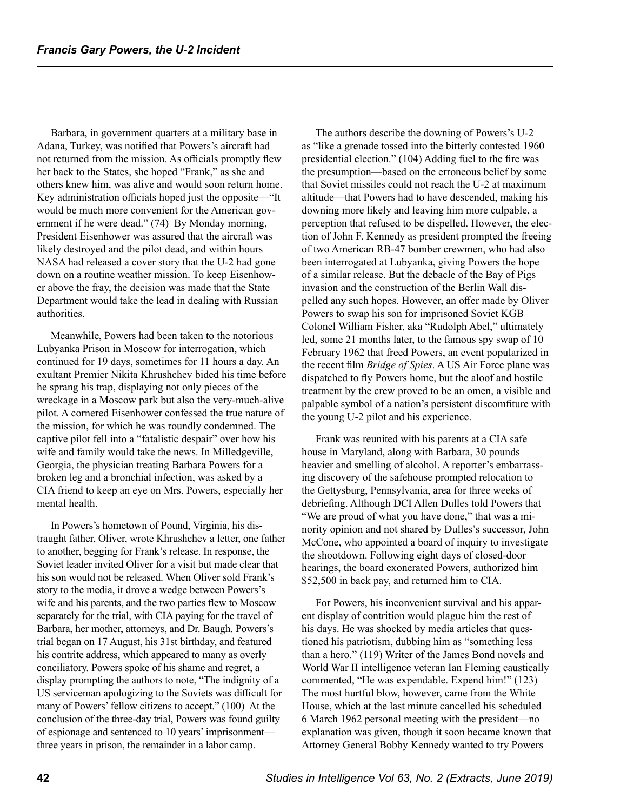Barbara, in government quarters at a military base in Adana, Turkey, was notified that Powers's aircraft had not returned from the mission. As officials promptly flew her back to the States, she hoped "Frank," as she and others knew him, was alive and would soon return home. Key administration officials hoped just the opposite—"It would be much more convenient for the American government if he were dead." (74) By Monday morning, President Eisenhower was assured that the aircraft was likely destroyed and the pilot dead, and within hours NASA had released a cover story that the U-2 had gone down on a routine weather mission. To keep Eisenhower above the fray, the decision was made that the State Department would take the lead in dealing with Russian authorities.

Meanwhile, Powers had been taken to the notorious Lubyanka Prison in Moscow for interrogation, which continued for 19 days, sometimes for 11 hours a day. An exultant Premier Nikita Khrushchev bided his time before he sprang his trap, displaying not only pieces of the wreckage in a Moscow park but also the very-much-alive pilot. A cornered Eisenhower confessed the true nature of the mission, for which he was roundly condemned. The captive pilot fell into a "fatalistic despair" over how his wife and family would take the news. In Milledgeville, Georgia, the physician treating Barbara Powers for a broken leg and a bronchial infection, was asked by a CIA friend to keep an eye on Mrs. Powers, especially her mental health.

In Powers's hometown of Pound, Virginia, his distraught father, Oliver, wrote Khrushchev a letter, one father to another, begging for Frank's release. In response, the Soviet leader invited Oliver for a visit but made clear that his son would not be released. When Oliver sold Frank's story to the media, it drove a wedge between Powers's wife and his parents, and the two parties flew to Moscow separately for the trial, with CIA paying for the travel of Barbara, her mother, attorneys, and Dr. Baugh. Powers's trial began on 17 August, his 31st birthday, and featured his contrite address, which appeared to many as overly conciliatory. Powers spoke of his shame and regret, a display prompting the authors to note, "The indignity of a US serviceman apologizing to the Soviets was difficult for many of Powers' fellow citizens to accept." (100) At the conclusion of the three-day trial, Powers was found guilty of espionage and sentenced to 10 years' imprisonment three years in prison, the remainder in a labor camp.

The authors describe the downing of Powers's U-2 as "like a grenade tossed into the bitterly contested 1960 presidential election." (104) Adding fuel to the fire was the presumption—based on the erroneous belief by some that Soviet missiles could not reach the U-2 at maximum altitude—that Powers had to have descended, making his downing more likely and leaving him more culpable, a perception that refused to be dispelled. However, the election of John F. Kennedy as president prompted the freeing of two American RB-47 bomber crewmen, who had also been interrogated at Lubyanka, giving Powers the hope of a similar release. But the debacle of the Bay of Pigs invasion and the construction of the Berlin Wall dispelled any such hopes. However, an offer made by Oliver Powers to swap his son for imprisoned Soviet KGB Colonel William Fisher, aka "Rudolph Abel," ultimately led, some 21 months later, to the famous spy swap of 10 February 1962 that freed Powers, an event popularized in the recent film *Bridge of Spies*. A US Air Force plane was dispatched to fly Powers home, but the aloof and hostile treatment by the crew proved to be an omen, a visible and palpable symbol of a nation's persistent discomfiture with the young U-2 pilot and his experience.

Frank was reunited with his parents at a CIA safe house in Maryland, along with Barbara, 30 pounds heavier and smelling of alcohol. A reporter's embarrassing discovery of the safehouse prompted relocation to the Gettysburg, Pennsylvania, area for three weeks of debriefing. Although DCI Allen Dulles told Powers that "We are proud of what you have done," that was a minority opinion and not shared by Dulles's successor, John McCone, who appointed a board of inquiry to investigate the shootdown. Following eight days of closed-door hearings, the board exonerated Powers, authorized him \$52,500 in back pay, and returned him to CIA.

For Powers, his inconvenient survival and his apparent display of contrition would plague him the rest of his days. He was shocked by media articles that questioned his patriotism, dubbing him as "something less than a hero." (119) Writer of the James Bond novels and World War II intelligence veteran Ian Fleming caustically commented, "He was expendable. Expend him!" (123) The most hurtful blow, however, came from the White House, which at the last minute cancelled his scheduled 6 March 1962 personal meeting with the president—no explanation was given, though it soon became known that Attorney General Bobby Kennedy wanted to try Powers